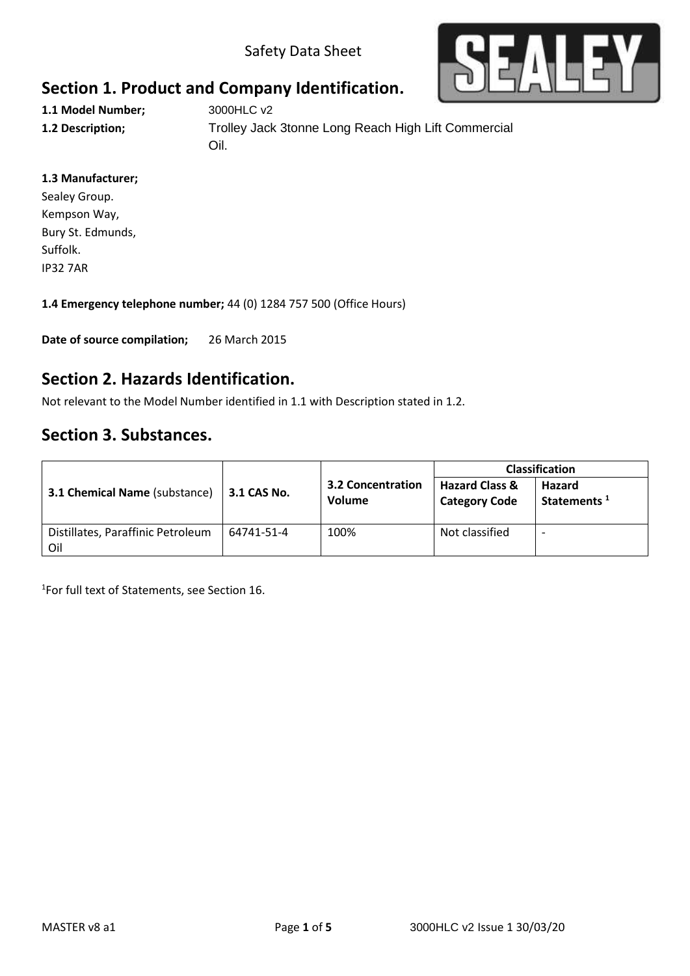Safety Data Sheet



# **Section 1. Product and Company Identification.**

**1.1 Model Number;** 3000HLC v2

**1.2 Description;** Trolley Jack 3tonne Long Reach High Lift Commercial Oil.

#### **1.3 Manufacturer;**

Sealey Group. Kempson Way, Bury St. Edmunds, Suffolk. IP32 7AR

**1.4 Emergency telephone number;** 44 (0) 1284 757 500 (Office Hours)

**Date of source compilation;** 26 March 2015

### **Section 2. Hazards Identification.**

Not relevant to the Model Number identified in 1.1 with Description stated in 1.2.

## **Section 3. Substances.**

|                                          |             |                                           | <b>Classification</b>                             |                                   |
|------------------------------------------|-------------|-------------------------------------------|---------------------------------------------------|-----------------------------------|
| <b>3.1 Chemical Name (substance)</b>     | 3.1 CAS No. | <b>3.2 Concentration</b><br><b>Volume</b> | <b>Hazard Class &amp;</b><br><b>Category Code</b> | Hazard<br>Statements <sup>1</sup> |
| Distillates, Paraffinic Petroleum<br>Oil | 64741-51-4  | 100%                                      | Not classified                                    |                                   |

1 For full text of Statements, see Section 16.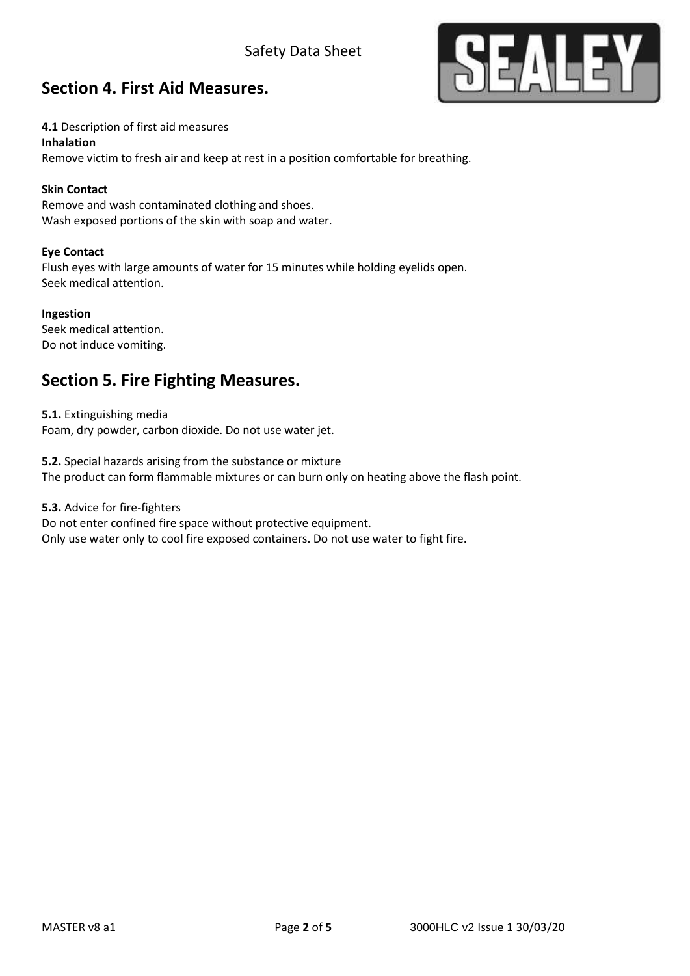### Safety Data Sheet



### **Section 4. First Aid Measures.**

**4.1** Description of first aid measures

#### **Inhalation**

Remove victim to fresh air and keep at rest in a position comfortable for breathing.

#### **Skin Contact**

Remove and wash contaminated clothing and shoes. Wash exposed portions of the skin with soap and water.

#### **Eye Contact**

Flush eyes with large amounts of water for 15 minutes while holding eyelids open. Seek medical attention.

#### **Ingestion**

Seek medical attention. Do not induce vomiting.

## **Section 5. Fire Fighting Measures.**

**5.1.** Extinguishing media Foam, dry powder, carbon dioxide. Do not use water jet.

**5.2.** Special hazards arising from the substance or mixture The product can form flammable mixtures or can burn only on heating above the flash point.

**5.3.** Advice for fire-fighters Do not enter confined fire space without protective equipment.

Only use water only to cool fire exposed containers. Do not use water to fight fire.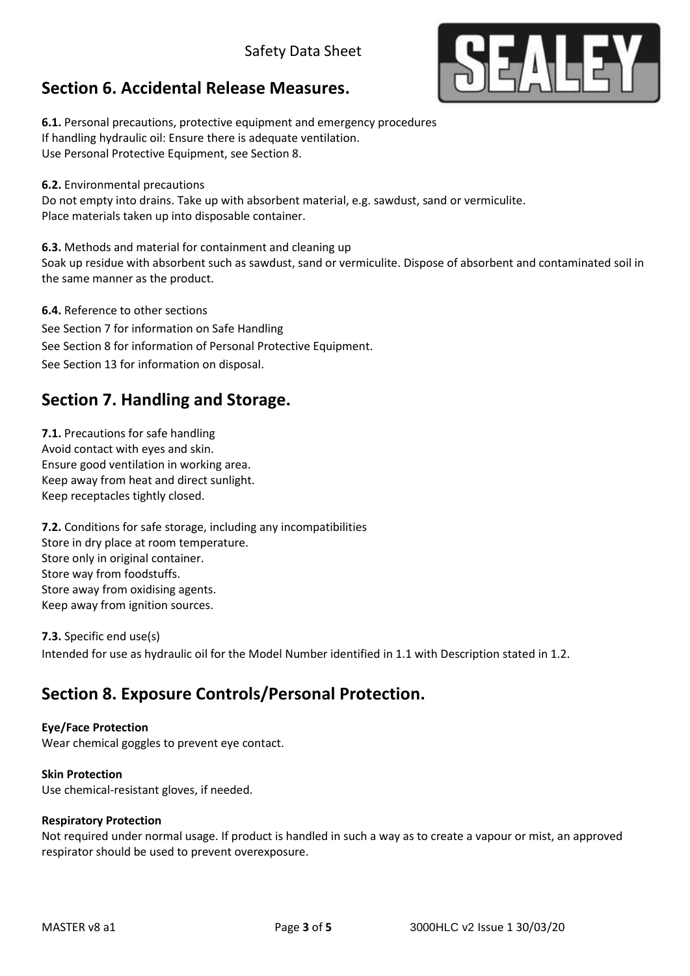### Safety Data Sheet

## **Section 6. Accidental Release Measures.**

**6.1.** Personal precautions, protective equipment and emergency procedures If handling hydraulic oil: Ensure there is adequate ventilation. Use Personal Protective Equipment, see Section 8.

**6.2.** Environmental precautions

Do not empty into drains. Take up with absorbent material, e.g. sawdust, sand or vermiculite. Place materials taken up into disposable container.

**6.3.** Methods and material for containment and cleaning up Soak up residue with absorbent such as sawdust, sand or vermiculite. Dispose of absorbent and contaminated soil in the same manner as the product.

**6.4.** Reference to other sections See Section 7 for information on Safe Handling See Section 8 for information of Personal Protective Equipment. See Section 13 for information on disposal.

## **Section 7. Handling and Storage.**

**7.1.** Precautions for safe handling Avoid contact with eyes and skin. Ensure good ventilation in working area. Keep away from heat and direct sunlight. Keep receptacles tightly closed.

**7.2.** Conditions for safe storage, including any incompatibilities Store in dry place at room temperature. Store only in original container. Store way from foodstuffs. Store away from oxidising agents. Keep away from ignition sources.

**7.3.** Specific end use(s) Intended for use as hydraulic oil for the Model Number identified in 1.1 with Description stated in 1.2.

## **Section 8. Exposure Controls/Personal Protection.**

#### **Eye/Face Protection**

Wear chemical goggles to prevent eye contact.

#### **Skin Protection**

Use chemical-resistant gloves, if needed.

#### **Respiratory Protection**

Not required under normal usage. If product is handled in such a way as to create a vapour or mist, an approved respirator should be used to prevent overexposure.

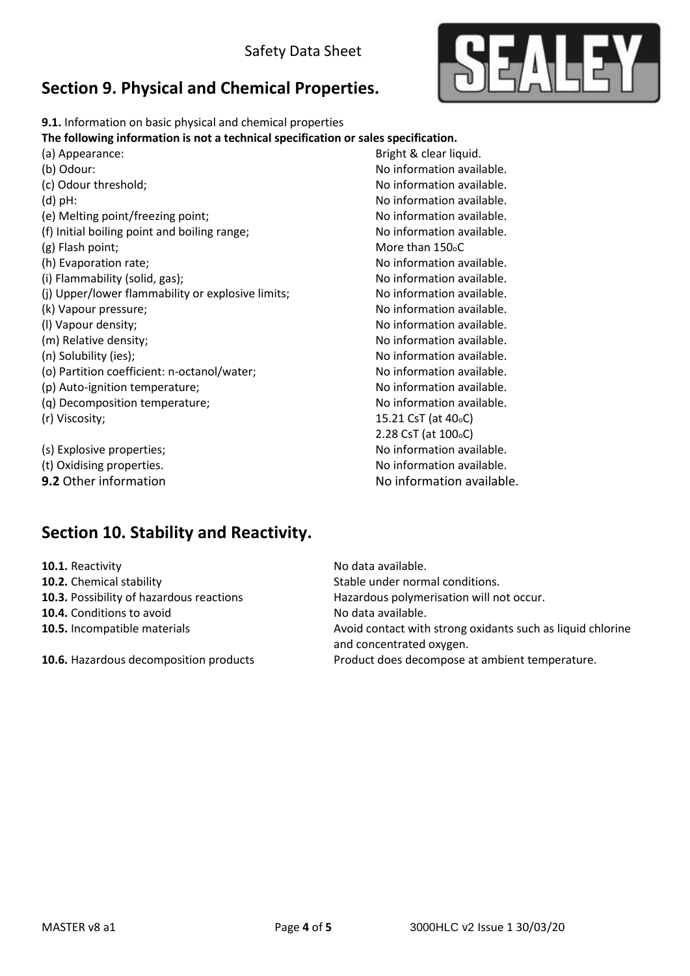# **Section 9. Physical and Chemical Properties.**



**9.1.** Information on basic physical and chemical properties

**The following information is not a technical specification or sales specification.**

| (a) Appearance:                                   | Bright & clear liquid.           |
|---------------------------------------------------|----------------------------------|
| (b) Odour:                                        | No information available.        |
| (c) Odour threshold;                              | No information available.        |
| $(d)$ pH:                                         | No information available.        |
| (e) Melting point/freezing point;                 | No information available.        |
| (f) Initial boiling point and boiling range;      | No information available.        |
| (g) Flash point;                                  | More than 150 <sub>°</sub> C     |
| (h) Evaporation rate;                             | No information available.        |
| (i) Flammability (solid, gas);                    | No information available.        |
| (j) Upper/lower flammability or explosive limits; | No information available.        |
| (k) Vapour pressure;                              | No information available.        |
| (I) Vapour density;                               | No information available.        |
| (m) Relative density;                             | No information available.        |
| (n) Solubility (ies);                             | No information available.        |
| (o) Partition coefficient: n-octanol/water;       | No information available.        |
| (p) Auto-ignition temperature;                    | No information available.        |
| (q) Decomposition temperature;                    | No information available.        |
| (r) Viscosity;                                    | 15.21 CsT (at 40 <sub>°</sub> C) |
|                                                   | 2.28 CsT (at $100oC$ )           |
| (s) Explosive properties;                         | No information available.        |
| (t) Oxidising properties.                         | No information available.        |
| 9.2 Other information                             | No information available.        |

# **Section 10. Stability and Reactivity.**

| 10.1. Reactivity                         | No data available.                                                                     |
|------------------------------------------|----------------------------------------------------------------------------------------|
| 10.2. Chemical stability                 | Stable under normal conditions.                                                        |
| 10.3. Possibility of hazardous reactions | Hazardous polymerisation will not occur.                                               |
| 10.4. Conditions to avoid                | No data available.                                                                     |
| 10.5. Incompatible materials             | Avoid contact with strong oxidants such as liquid chlorine<br>and concentrated oxygen. |
| 10.6. Hazardous decomposition products   | Product does decompose at ambient temperature.                                         |
|                                          |                                                                                        |